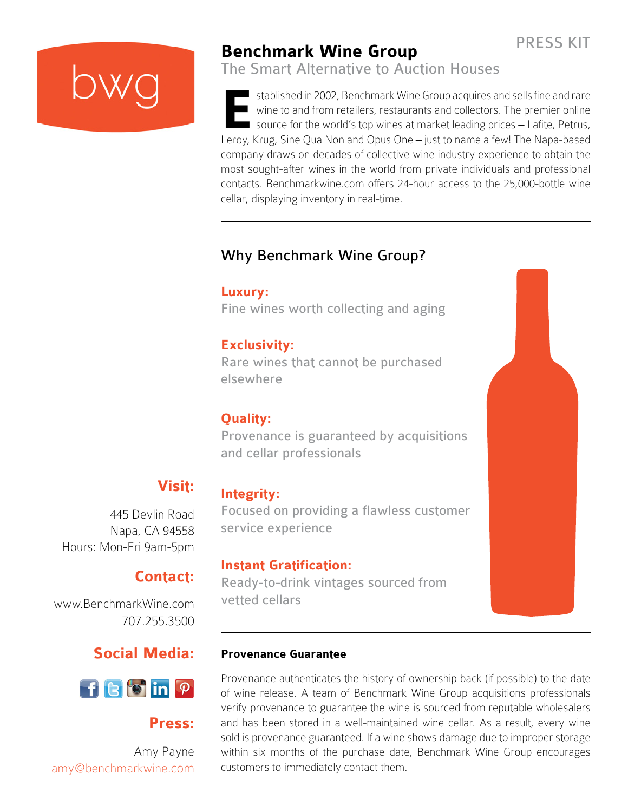PRESS KIT

## **Benchmark Wine Group**

The Smart Alternative to Auction Houses

I stablished in 2002, Benchmark Wine Group acquires and sells fine and rare wine to and from retailers, restaurants and collectors. The premier online source for the world's top wines at market leading prices – Lafite, Petrus, Interaction 2002, Benchmark Wine Group acquires and sells fine and rare<br>
wine to and from retailers, restaurants and collectors. The premier online<br>
source for the world's top wines at market leading prices – Lafite, Petru company draws on decades of collective wine industry experience to obtain the most sought-after wines in the world from private individuals and professional contacts. Benchmarkwine.com offers 24-hour access to the 25,000-bottle wine cellar, displaying inventory in real-time.

## Why Benchmark Wine Group?

## **Luxury:**

Fine wines worth collecting and aging

## **Exclusivity:**

Rare wines that cannot be purchased elsewhere

## **Quality:**

Provenance is guaranteed by acquisitions and cellar professionals

## **Visit:**

445 Devlin Road Napa, CA 94558 Hours: Mon-Fri 9am-5pm

## **Contact:**

[www.BenchmarkWine.com](http://www.BenchmarkWine.com
) 707.255.3500

## **Social Media:**



## **Press:**

Amy Payne amy@benchmarkwine.com

## **Integrity:**

Focused on providing a flawless customer service experience

## **Instant Gratification:**

Ready-to-drink vintages sourced from vetted cellars

### **Provenance Guarantee**

Provenance authenticates the history of ownership back (if possible) to the date of wine release. A team of Benchmark Wine Group acquisitions professionals verify provenance to guarantee the wine is sourced from reputable wholesalers and has been stored in a well-maintained wine cellar. As a result, every wine sold is provenance guaranteed. If a wine shows damage due to improper storage within six months of the purchase date, Benchmark Wine Group encourages customers to immediately contact them.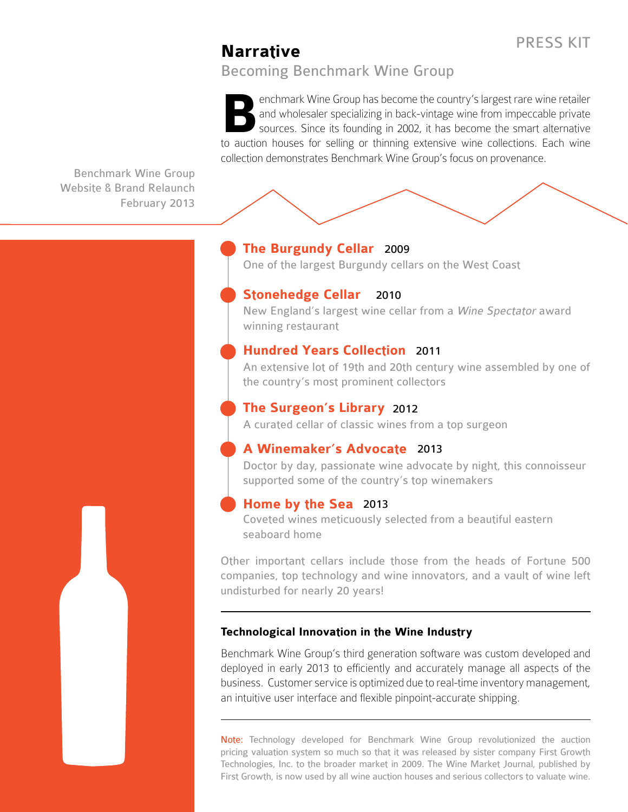### PRESS KIT

## **Narrative**

Becoming Benchmark Wine Group

enchmark Wine Group has become the country's largest rare wine retailer and wholesaler specializing in back-vintage wine from impeccable private sources. Since its founding in 2002, it has become the smart alternative enchmark Wine Group has become the country's largest rare wine retailer<br>and wholesaler specializing in back-vintage wine from impeccable private<br>sources. Since its founding in 2002, it has become the smart alternative<br>to a collection demonstrates Benchmark Wine Group's focus on provenance.

Benchmark Wine Group Website & Brand Relaunch February 2013



#### **The Burgundy Cellar**  2009

One of the largest Burgundy cellars on the West Coast

#### **Stonehedge Cellar** 2010

New England's largest wine cellar from a [Wine Spectator](http://www.winespectator.com/) award winning restaurant

#### **Hundred Years Collection** 2011

An extensive lot of 19th and 20th century wine assembled by one of the country's most prominent collectors

### **The Surgeon's Library** 2012

A curated cellar of classic wines from a top surgeon

#### **A Winemaker's Advocate**  2013

Doctor by day, passionate wine advocate by night, this connoisseur supported some of the country's top winemakers

#### **Home by the Sea**  2013

Coveted wines meticuously selected from a beautiful eastern seaboard home

Other important cellars include those from the heads of Fortune 500 companies, top technology and wine innovators, and a vault of wine left undisturbed for nearly 20 years!

#### **Technological Innovation in the Wine Industry**

Benchmark Wine Group's third generation software was custom developed and deployed in early 2013 to efficiently and accurately manage all aspects of the business. Customer service is optimized due to real-time inventory management, an intuitive user interface and flexible pinpoint-accurate shipping.

Note: Technology developed for Benchmark Wine Group revolutionized the auction pricing valuation system so much so that it was released by sister company First Growth Technologies, Inc. to the broader market in 2009. The [Wine Market Journal,](http://www.winemarketjournal.com/) published by First Growth, is now used by all wine auction houses and serious collectors to valuate wine.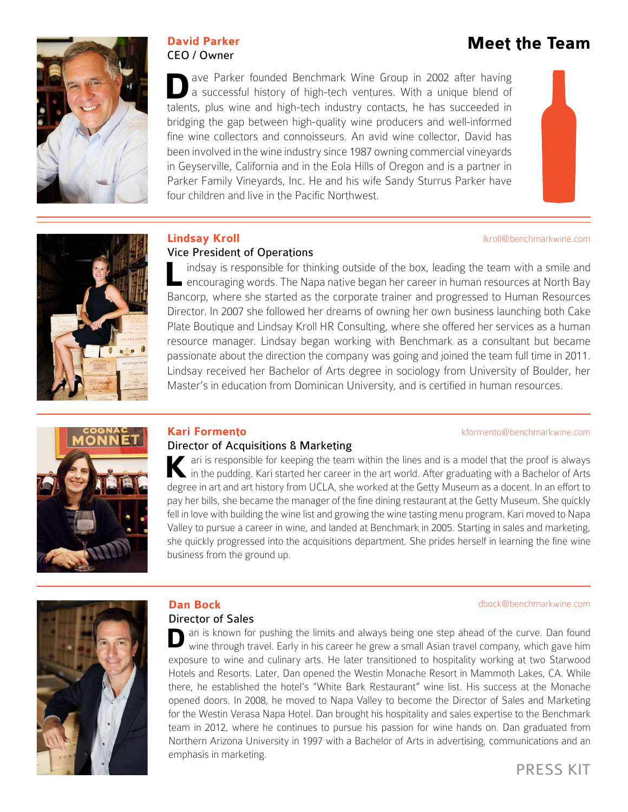

# **David Parker Meet the Team** CEO / Owner

lkroll@benchmarkwine.com

ave Parker founded Benchmark Wine Group in 2002 after having a successful history of high-tech ventures. With a unique blend of ave Parker founded Benchmark Wine Group in 2002 after having a successful history of high-tech ventures. With a unique blend of talents, plus wine and high-tech industry contacts, he has succeeded in bridging the gap between high-quality wine producers and well-informed fine wine collectors and connoisseurs. An avid wine collector, David has been involved in the wine industry since 1987 owning commercial vineyards in Geyserville, California and in the Eola Hills of Oregon and is a partner in Parker Family Vineyards, Inc. He and his wife Sandy Sturrus Parker have four children and live in the Pacific Northwest.



#### **Lindsay Kroll**

#### Vice President of Operations

indsay is responsible for thinking outside of the box, leading the team with a smile and encouraging words. The Napa native began her career in human resources at North Bay Indsay is responsible for thinking outside of the box, leading the team with a smile and<br>encouraging words. The Napa native began her career in human resources at North Bay<br>Bancorp, where she started as the corporate train Director. In 2007 she followed her dreams of owning her own business launching both Cake Plate Boutique and Lindsay Kroll HR Consulting, where she offered her services as a human resource manager. Lindsay began working with Benchmark as a consultant but became passionate about the direction the company was going and joined the team full time in 2011. Lindsay received her Bachelor of Arts degree in sociology from University of Boulder, her Master's in education from Dominican University, and is certified in human resources.

#### kformento@benchmarkwine.com

dbock@benchmarkwine.com



#### **Kari Formento**

#### Director of Acquisitions & Marketing

ari is responsible for keeping the team within the lines and is a model that the proof is always<br>in the pudding. Kari started her career in the art world. After graduating with a Bachelor of Arts in the pudding. Kari started her career in the art world. After graduating with a Bachelor of Arts degree in art and art history from UCLA, she worked at the Getty Museum as a docent. In an effort to pay her bills, she became the manager of the fine dining restaurant at the Getty Museum. She quickly fell in love with building the wine list and growing the wine tasting menu program. Kari moved to Napa Valley to pursue a career in wine, and landed at Benchmark in 2005. Starting in sales and marketing, she quickly progressed into the acquisitions department. She prides herself in learning the fine wine business from the ground up.



### **Dan Bock**

#### Director of Sales

**D** an is known for pushing the limits and always being one step ahead of the curve. Dan found wine through travel. Early in his career he grew a small Asian travel company, which gave him wine through travel. Early in his career he grew a small Asian travel company, which gave him exposure to wine and culinary arts. He later transitioned to hospitality working at two Starwood Hotels and Resorts. Later, Dan opened the Westin Monache Resort in Mammoth Lakes, CA. While there, he established the hotel's "White Bark Restaurant" wine list. His success at the Monache opened doors. In 2008, he moved to Napa Valley to become the Director of Sales and Marketing for the Westin Verasa Napa Hotel. Dan brought his hospitality and sales expertise to the Benchmark team in 2012, where he continues to pursue his passion for wine hands on. Dan graduated from Northern Arizona University in 1997 with a Bachelor of Arts in advertising, communications and an emphasis in marketing.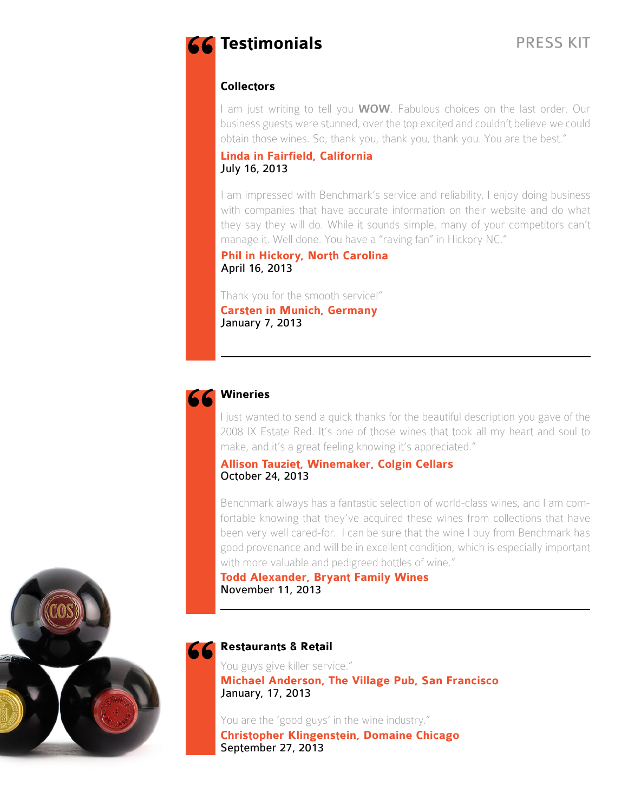# **Testimonials "**

#### **Collectors**

I am just writing to tell you **WOW**. Fabulous choices on the last order. Our business guests were stunned, over the top excited and couldn't believe we could obtain those wines. So, thank you, thank you, thank you. You are the best."

#### **Linda in Fairfield, California** July 16, 2013

I am impressed with Benchmark's service and reliability. I enjoy doing business with companies that have accurate information on their website and do what they say they will do. While it sounds simple, many of your competitors can't manage it. Well done. You have a "raving fan" in Hickory NC."

#### **Phil in Hickory, North Carolina** April 16, 2013

Thank you for the smooth service!" **Carsten in Munich, Germany** January 7, 2013



#### **Wineries**

I just wanted to send a quick thanks for the beautiful description you gave of the 2008 IX Estate Red. It's one of those wines that took all my heart and soul to make, and it's a great feeling knowing it's appreciated."

#### **Allison Tauziet, Winemaker, Colgin Cellars** October 24, 2013

Benchmark always has a fantastic selection of world-class wines, and I am comfortable knowing that they've acquired these wines from collections that have been very well cared-for. I can be sure that the wine I buy from Benchmark has good provenance and will be in excellent condition, which is especially important with more valuable and pedigreed bottles of wine."

#### **Todd Alexander, Bryant Family Wines** November 11, 2013

# **Restaurants & Retail "**

You guys give killer service." **Michael Anderson, The Village Pub, San Francisco** January, 17, 2013

You are the 'good guys' in the wine industry." **Christopher Klingenstein, Domaine Chicago** September 27, 2013

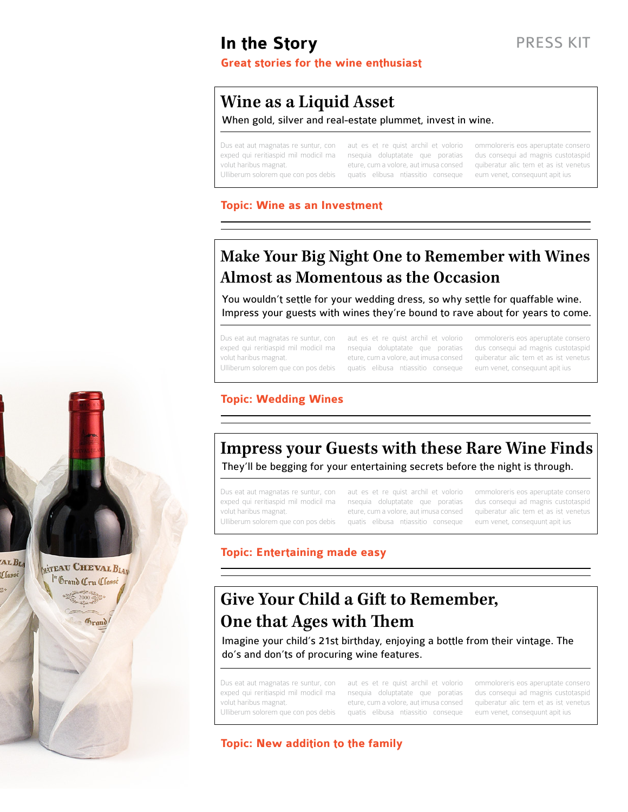## **In the Story**

#### **Great stories for the wine enthusiast**

## **Wine as a Liquid Asset**

#### When gold, silver and real-estate plummet, invest in wine.

Ulliberum solorem que con pos debis quatis elibusa ntiassitio conseque eum venet, consequunt apit ius

Dus eat aut magnatas re suntur, con aut es et re quist archil et volorio ommoloreris eos aperuptate consero exped qui reritiaspid mil modicil ma nsequia doluptatate que poratias dus consequi ad magnis custotaspid volut haribus magnat. eture, cum a volore, aut imusa consed quiberatur alic tem et as ist venetus

PRESS KIT

#### **Topic: Wine as an Investment**

## **Make Your Big Night One to Remember with Wines Almost as Momentous as the Occasion**

You wouldn't settle for your wedding dress, so why settle for quaffable wine. Impress your guests with wines they're bound to rave about for years to come.

Dus eat aut magnatas re suntur, con aut es et re quist archil et volorio ommoloreris eos aperuptate consero

exped qui reritiaspid mil modicil ma nsequia doluptatate que poratias dus consequi ad magnis custotaspid volut haribus magnat. eture, cum a volore, aut imusa consed quiberatur alic tem et as ist venetus Ulliberum solorem que con pos debis quatis elibusa ntiassitio conseque eum venet, consequunt apit ius

#### **Topic: Wedding Wines**

### **Impress your Guests with these Rare Wine Finds** They'll be begging for your entertaining secrets before the night is through.

Dus eat aut magnatas re suntur, con aut es et re quist archil et volorio ommoloreris eos aperuptate consero

AL BLA

Classé

**MATEAU CHEVAL BLAN** 

Grand Cru Classe

**Grand** 

exped qui reritiaspid mil modicil ma nsequia doluptatate que poratias dus consequi ad magnis custotaspid volut haribus magnat. eture, cum a volore, aut imusa consed quiberatur alic tem et as ist venetus Ulliberum solorem que con pos debis quatis elibusa ntiassitio conseque eum venet, consequunt apit ius

#### **Topic: Entertaining made easy**

## **Give Your Child a Gift to Remember, One that Ages with Them**

Imagine your child's 21st birthday, enjoying a bottle from their vintage. The do's and don'ts of procuring wine features.

volut haribus magnat.

Dus eat aut magnatas re suntur, con aut es et re quist archil et volorio ommoloreris eos aperuptate consero exped qui reritiaspid mil modicil ma nsequia doluptatate que poratias Ulliberum solorem que con pos debis quatis elibusa ntiassitio conseque eum venet, consequunt apit ius eture, cum a volore, aut imusa consed

dus consequi ad magnis custotaspid quiberatur alic tem et as ist venetus

#### **Topic: New addition to the family**